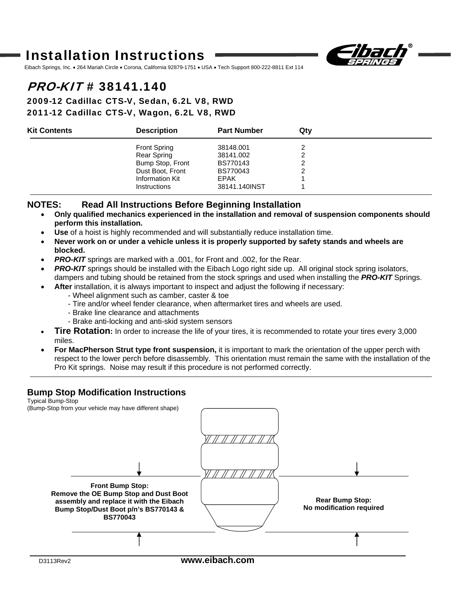# Installation Instructions



Eibach Springs, Inc. • 264 Mariah Circle • Corona, California 92879-1751 • USA • Tech Support 800-222-8811 Ext 114

## PRO-KIT # 38141.140

#### 2009-12 Cadillac CTS-V, Sedan, 6.2L V8, RWD 2011-12 Cadillac CTS-V, Wagon, 6.2L V8, RWD

| <b>Kit Contents</b> | <b>Description</b>  | <b>Part Number</b> | Qtv |  |
|---------------------|---------------------|--------------------|-----|--|
|                     | <b>Front Spring</b> | 38148.001          |     |  |
|                     | Rear Spring         | 38141.002          |     |  |
|                     | Bump Stop, Front    | BS770143           |     |  |
|                     | Dust Boot, Front    | BS770043           |     |  |
|                     | Information Kit     | <b>EPAK</b>        |     |  |
|                     | <b>Instructions</b> | 38141.140INST      |     |  |

#### **NOTES: Read All Instructions Before Beginning Installation**

- **Only qualified mechanics experienced in the installation and removal of suspension components should perform this installation.**
- **Use** of a hoist is highly recommended and will substantially reduce installation time.
- **Never work on or under a vehicle unless it is properly supported by safety stands and wheels are blocked.**
- **PRO-KIT** springs are marked with a .001, for Front and .002, for the Rear.
- **PRO-KIT** springs should be installed with the Eibach Logo right side up. All original stock spring isolators, dampers and tubing should be retained from the stock springs and used when installing the *PRO-KIT* Springs.
	- **After** installation, it is always important to inspect and adjust the following if necessary:
		- Wheel alignment such as camber, caster & toe
			- Tire and/or wheel fender clearance, when aftermarket tires and wheels are used.
			- Brake line clearance and attachments
			- Brake anti-locking and anti-skid system sensors
- **Tire Rotation:** In order to increase the life of your tires, it is recommended to rotate your tires every 3,000 miles.
- **For MacPherson Strut type front suspension,** it is important to mark the orientation of the upper perch with respect to the lower perch before disassembly. This orientation must remain the same with the installation of the Pro Kit springs. Noise may result if this procedure is not performed correctly.

#### **Bump Stop Modification Instructions**